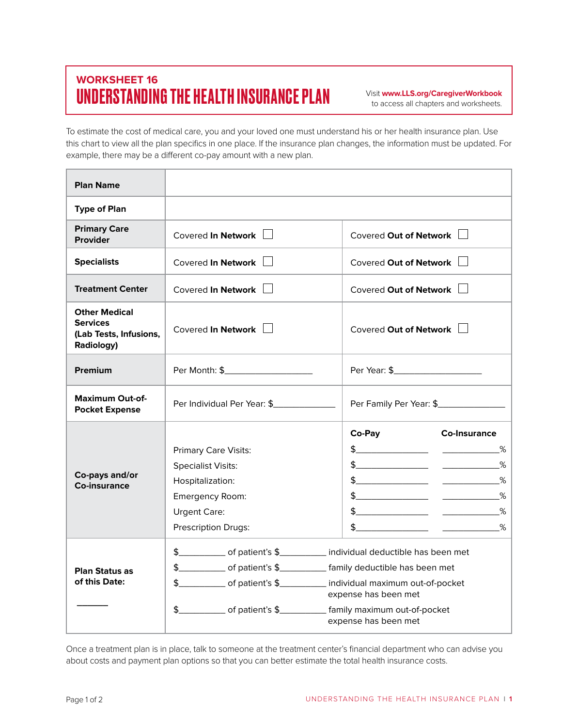## **WORKSHEET 16** UNDERSTANDING THE HEALTH INSURANCE PLAN

Visit **www.LLS.org/CaregiverWorkbook** to access all chapters and worksheets.

To estimate the cost of medical care, you and your loved one must understand his or her health insurance plan. Use this chart to view all the plan specifics in one place. If the insurance plan changes, the information must be updated. For example, there may be a different co-pay amount with a new plan.

| <b>Plan Name</b>                                                                |                                                                                                                                                                                                                                                                                                                               |                                                                                                                                                                                                                                                                                                                                                                                                                                                                                                                                                                                                                                                                                                                                                                                                                                                                                                                                                                                                                                                                                                                                                                                                                                                                                                                                                                                               |
|---------------------------------------------------------------------------------|-------------------------------------------------------------------------------------------------------------------------------------------------------------------------------------------------------------------------------------------------------------------------------------------------------------------------------|-----------------------------------------------------------------------------------------------------------------------------------------------------------------------------------------------------------------------------------------------------------------------------------------------------------------------------------------------------------------------------------------------------------------------------------------------------------------------------------------------------------------------------------------------------------------------------------------------------------------------------------------------------------------------------------------------------------------------------------------------------------------------------------------------------------------------------------------------------------------------------------------------------------------------------------------------------------------------------------------------------------------------------------------------------------------------------------------------------------------------------------------------------------------------------------------------------------------------------------------------------------------------------------------------------------------------------------------------------------------------------------------------|
| <b>Type of Plan</b>                                                             |                                                                                                                                                                                                                                                                                                                               |                                                                                                                                                                                                                                                                                                                                                                                                                                                                                                                                                                                                                                                                                                                                                                                                                                                                                                                                                                                                                                                                                                                                                                                                                                                                                                                                                                                               |
| <b>Primary Care</b><br><b>Provider</b>                                          | Covered In Network                                                                                                                                                                                                                                                                                                            | Covered Out of Network                                                                                                                                                                                                                                                                                                                                                                                                                                                                                                                                                                                                                                                                                                                                                                                                                                                                                                                                                                                                                                                                                                                                                                                                                                                                                                                                                                        |
| <b>Specialists</b>                                                              | Covered In Network                                                                                                                                                                                                                                                                                                            | Covered Out of Network                                                                                                                                                                                                                                                                                                                                                                                                                                                                                                                                                                                                                                                                                                                                                                                                                                                                                                                                                                                                                                                                                                                                                                                                                                                                                                                                                                        |
| <b>Treatment Center</b>                                                         | Covered In Network                                                                                                                                                                                                                                                                                                            | Covered Out of Network                                                                                                                                                                                                                                                                                                                                                                                                                                                                                                                                                                                                                                                                                                                                                                                                                                                                                                                                                                                                                                                                                                                                                                                                                                                                                                                                                                        |
| <b>Other Medical</b><br><b>Services</b><br>(Lab Tests, Infusions,<br>Radiology) | Covered In Network $\Box$                                                                                                                                                                                                                                                                                                     | Covered Out of Network                                                                                                                                                                                                                                                                                                                                                                                                                                                                                                                                                                                                                                                                                                                                                                                                                                                                                                                                                                                                                                                                                                                                                                                                                                                                                                                                                                        |
| Premium                                                                         |                                                                                                                                                                                                                                                                                                                               |                                                                                                                                                                                                                                                                                                                                                                                                                                                                                                                                                                                                                                                                                                                                                                                                                                                                                                                                                                                                                                                                                                                                                                                                                                                                                                                                                                                               |
| <b>Maximum Out-of-</b><br><b>Pocket Expense</b>                                 | Per Individual Per Year: \$                                                                                                                                                                                                                                                                                                   | Per Family Per Year: \$________________                                                                                                                                                                                                                                                                                                                                                                                                                                                                                                                                                                                                                                                                                                                                                                                                                                                                                                                                                                                                                                                                                                                                                                                                                                                                                                                                                       |
| Co-pays and/or<br>Co-insurance                                                  | <b>Primary Care Visits:</b><br><b>Specialist Visits:</b><br>Hospitalization:<br>Emergency Room:<br><b>Urgent Care:</b><br><b>Prescription Drugs:</b>                                                                                                                                                                          | Co-Pay<br><b>Co-Insurance</b><br>$\frac{1}{2}$ $\frac{1}{2}$ $\frac{1}{2}$ $\frac{1}{2}$ $\frac{1}{2}$ $\frac{1}{2}$ $\frac{1}{2}$ $\frac{1}{2}$ $\frac{1}{2}$ $\frac{1}{2}$ $\frac{1}{2}$ $\frac{1}{2}$ $\frac{1}{2}$ $\frac{1}{2}$ $\frac{1}{2}$ $\frac{1}{2}$ $\frac{1}{2}$ $\frac{1}{2}$ $\frac{1}{2}$ $\frac{1}{2}$ $\frac{1}{2}$ $\frac{1}{2}$<br>$\frac{9}{6}$<br>$\frac{1}{2}$<br>$\frac{1}{2}$ $\frac{1}{2}$ $\frac{1}{2}$ $\frac{1}{2}$ $\frac{1}{2}$ $\frac{1}{2}$ $\frac{1}{2}$ $\frac{1}{2}$ $\frac{1}{2}$ $\frac{1}{2}$ $\frac{1}{2}$ $\frac{1}{2}$ $\frac{1}{2}$ $\frac{1}{2}$ $\frac{1}{2}$ $\frac{1}{2}$ $\frac{1}{2}$ $\frac{1}{2}$ $\frac{1}{2}$ $\frac{1}{2}$ $\frac{1}{2}$ $\frac{1}{2}$<br>$\frac{9}{6}$<br>$\frac{1}{2}$<br>$\frac{1}{2}$ $\frac{1}{2}$ $\frac{1}{2}$ $\frac{1}{2}$ $\frac{1}{2}$ $\frac{1}{2}$ $\frac{1}{2}$ $\frac{1}{2}$ $\frac{1}{2}$ $\frac{1}{2}$ $\frac{1}{2}$ $\frac{1}{2}$ $\frac{1}{2}$ $\frac{1}{2}$ $\frac{1}{2}$ $\frac{1}{2}$ $\frac{1}{2}$ $\frac{1}{2}$ $\frac{1}{2}$ $\frac{1}{2}$ $\frac{1}{2}$ $\frac{1}{2}$<br>$\frac{1}{2}$ $\frac{1}{2}$ $\frac{1}{2}$ $\frac{1}{2}$ $\frac{1}{2}$ $\frac{1}{2}$ $\frac{1}{2}$ $\frac{1}{2}$ $\frac{1}{2}$ $\frac{1}{2}$ $\frac{1}{2}$ $\frac{1}{2}$ $\frac{1}{2}$ $\frac{1}{2}$ $\frac{1}{2}$ $\frac{1}{2}$ $\frac{1}{2}$ $\frac{1}{2}$ $\frac{1}{2}$ $\frac{1}{2}$ $\frac{1}{2}$ $\frac{1}{2}$ |
| <b>Plan Status as</b><br>of this Date:                                          | \$______________ of patient's \$_____________ individual deductible has been met<br>\$_____________ of patient's \$____________ family deductible has been met<br>\$_____________ of patient's \$____________ individual maximum out-of-pocket<br>\$_______________ of patient's \$_____________ family maximum out-of-pocket | expense has been met<br>expense has been met                                                                                                                                                                                                                                                                                                                                                                                                                                                                                                                                                                                                                                                                                                                                                                                                                                                                                                                                                                                                                                                                                                                                                                                                                                                                                                                                                  |

Once a treatment plan is in place, talk to someone at the treatment center's financial department who can advise you about costs and payment plan options so that you can better estimate the total health insurance costs.